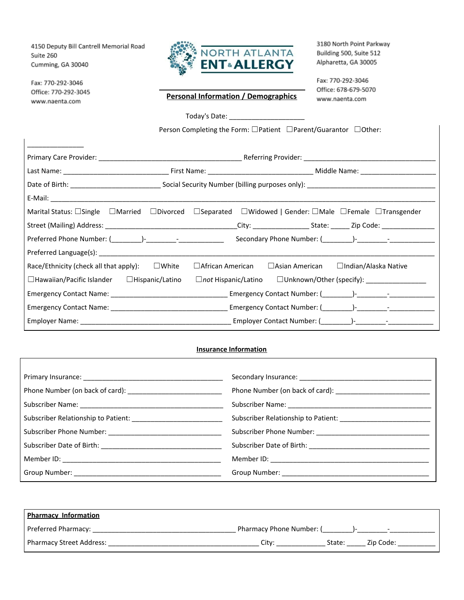4150 Deputy Bill Cantrell Memorial Road Suite 260 Cumming, GA 30040

Fax: 770-292-3046 Office: 770-292-3045 www.naenta.com



3180 North Point Parkway Building 500, Suite 512 Alpharetta, GA 30005

Fax: 770-292-3046 Office: 678-679-5070 www.naenta.com

## **Personal Information / Demographics**

Today's Date: \_\_\_\_\_\_\_\_\_\_\_\_\_\_\_\_\_\_\_\_

Person Completing the Form: □Patient □Parent/Guarantor □Other:

|                                                         | Marital Status: $\Box$ Single $\Box$ Married $\Box$ Divorced $\Box$ Separated $\Box$ Widowed   Gender: $\Box$ Male $\Box$ Female $\Box$ Transgender                                                                            |  |  |  |
|---------------------------------------------------------|--------------------------------------------------------------------------------------------------------------------------------------------------------------------------------------------------------------------------------|--|--|--|
|                                                         |                                                                                                                                                                                                                                |  |  |  |
|                                                         |                                                                                                                                                                                                                                |  |  |  |
|                                                         |                                                                                                                                                                                                                                |  |  |  |
| Race/Ethnicity (check all that apply): $\Box$ White     | $\Box$ African American<br>□ Asian American □ Indian/Alaska Native                                                                                                                                                             |  |  |  |
| $\Box$ Hawaiian/Pacific Islander $\Box$ Hispanic/Latino |                                                                                                                                                                                                                                |  |  |  |
|                                                         |                                                                                                                                                                                                                                |  |  |  |
|                                                         |                                                                                                                                                                                                                                |  |  |  |
|                                                         | Employer Name: 1999 - 1999 - 1999 - 1999 - 1999 - 1999 - 1999 - 1999 - 1999 - 1999 - 1999 - 1999 - 1999 - 1999 - 1999 - 1999 - 1999 - 1999 - 1999 - 1999 - 1999 - 1999 - 1999 - 1999 - 1999 - 1999 - 1999 - 1999 - 1999 - 1999 |  |  |  |

## **Insurance Information**

| <b>Pharmacy Information</b> |                               |
|-----------------------------|-------------------------------|
| Preferred Pharmacy:         | Pharmacy Phone Number: (<br>- |
| Pharmacy Street Address:    | Zip Code:<br>State:<br>City:  |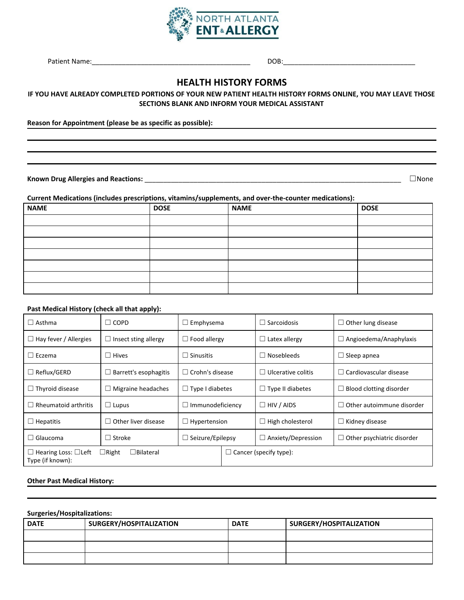

## **HEALTH HISTORY FORMS**

#### IF YOU HAVE ALREADY COMPLETED PORTIONS OF YOUR NEW PATIENT HEALTH HISTORY FORMS ONLINE, YOU MAY LEAVE THOSE **SECTIONS BLANK AND INFORM YOUR MEDICAL ASSISTANT**

**Reason for Appointment (please be as specific as possible):**

**Known Drug Allergies and Reactions:** \_\_\_\_\_\_\_\_\_\_\_\_\_\_\_\_\_\_\_\_\_\_\_\_\_\_\_\_\_\_\_\_\_\_\_\_\_\_\_\_\_\_\_\_\_\_\_\_\_\_\_\_\_\_\_\_\_\_\_\_\_\_\_\_\_\_\_\_ ☐None

**Current Medications (includes prescriptions, vitamins/supplements, and over-the-counter medications):**

| <b>NAME</b> | <b>DOSE</b> | <b>NAME</b> | <b>DOSE</b> |
|-------------|-------------|-------------|-------------|
|             |             |             |             |
|             |             |             |             |
|             |             |             |             |
|             |             |             |             |
|             |             |             |             |
|             |             |             |             |
|             |             |             |             |

#### **Past Medical History (check all that apply):**

| $\Box$ Asthma                                        | $\Box$ COPD                      | $\Box$ Emphysema              |  | l Sarcoidosis<br>ш        | $\Box$ Other lung disease         |
|------------------------------------------------------|----------------------------------|-------------------------------|--|---------------------------|-----------------------------------|
| $\Box$ Hay fever / Allergies                         | $\Box$ Insect sting allergy      | $\Box$ Food allergy           |  | $\Box$ Latex allergy      | $\Box$ Angioedema/Anaphylaxis     |
| $\Box$ Eczema                                        | $\Box$ Hives                     | $\Box$ Sinusitis              |  | Nosebleeds<br>L           | $\Box$ Sleep apnea                |
| $\Box$ Reflux/GERD                                   | Barrett's esophagitis<br>$\Box$  | $\Box$ Crohn's disease        |  | $\Box$ Ulcerative colitis | $\Box$ Cardiovascular disease     |
| $\Box$ Thyroid disease                               | Migraine headaches<br>⊔          | $\Box$ Type I diabetes        |  | $\Box$ Type II diabetes   | $\Box$ Blood clotting disorder    |
| $\Box$ Rheumatoid arthritis                          | $\Box$ Lupus                     | $\Box$ Immunodeficiency       |  | $\Box$ HIV / AIDS         | $\Box$ Other autoimmune disorder  |
| $\Box$ Hepatitis                                     | $\Box$ Other liver disease       | $\Box$ Hypertension           |  | High cholesterol          | $\Box$ Kidney disease             |
| $\Box$ Glaucoma                                      | $\Box$ Stroke                    | $\Box$ Seizure/Epilepsy       |  | Anxiety/Depression        | $\Box$ Other psychiatric disorder |
| $\Box$ Hearing Loss: $\Box$ Left<br>Type (if known): | $\Box$ Right<br>$\Box$ Bilateral | $\Box$ Cancer (specify type): |  |                           |                                   |

#### **Other Past Medical History:**

#### **Surgeries/Hospitalizations:**

| <b>DATE</b> | SURGERY/HOSPITALIZATION | <b>DATE</b> | SURGERY/HOSPITALIZATION |
|-------------|-------------------------|-------------|-------------------------|
|             |                         |             |                         |
|             |                         |             |                         |
|             |                         |             |                         |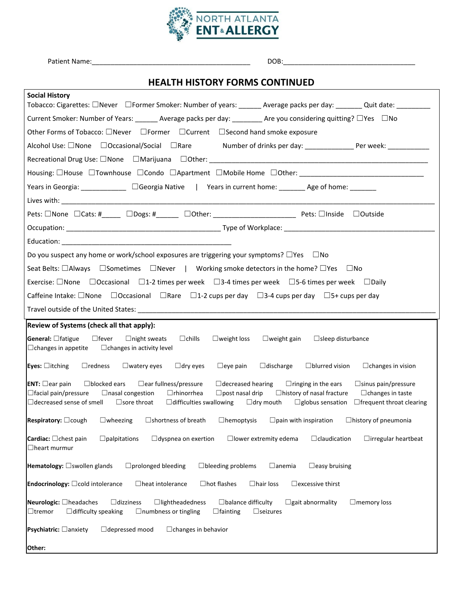

# **HEALTH HISTORY FORMS CONTINUED**

| <b>Social History</b><br>Tobacco: Cigarettes: □Never □Former Smoker: Number of years: ______ Average packs per day: _______ Quit date: ________                                                                                                                                                                                                                                                                                                                                                                            |
|----------------------------------------------------------------------------------------------------------------------------------------------------------------------------------------------------------------------------------------------------------------------------------------------------------------------------------------------------------------------------------------------------------------------------------------------------------------------------------------------------------------------------|
| Current Smoker: Number of Years: _______ Average packs per day: _________ Are you considering quitting? □Yes □No                                                                                                                                                                                                                                                                                                                                                                                                           |
| Other Forms of Tobacco: □Never □Former □Current □Second hand smoke exposure                                                                                                                                                                                                                                                                                                                                                                                                                                                |
| Alcohol Use: □None □Occasional/Social □Rare<br>Number of drinks per day: ______________________ Per week: _______________                                                                                                                                                                                                                                                                                                                                                                                                  |
|                                                                                                                                                                                                                                                                                                                                                                                                                                                                                                                            |
|                                                                                                                                                                                                                                                                                                                                                                                                                                                                                                                            |
| Years in Georgia: _____________ □Georgia Native   Years in current home: ________ Age of home: _______                                                                                                                                                                                                                                                                                                                                                                                                                     |
|                                                                                                                                                                                                                                                                                                                                                                                                                                                                                                                            |
| Pets: □None □Cats: #_____ □Dogs: #______ □Other: _______________________________ Pets: □Inside □Outside                                                                                                                                                                                                                                                                                                                                                                                                                    |
|                                                                                                                                                                                                                                                                                                                                                                                                                                                                                                                            |
|                                                                                                                                                                                                                                                                                                                                                                                                                                                                                                                            |
| Do you suspect any home or work/school exposures are triggering your symptoms? $\square$ Yes $\square$ No                                                                                                                                                                                                                                                                                                                                                                                                                  |
| Seat Belts: □Always □Sometimes □Never   Working smoke detectors in the home? □Yes □No                                                                                                                                                                                                                                                                                                                                                                                                                                      |
| Exercise: $\Box$ None $\Box$ Occasional $\Box$ 1-2 times per week $\Box$ 3-4 times per week $\Box$ 5-6 times per week $\Box$ Daily                                                                                                                                                                                                                                                                                                                                                                                         |
| Caffeine Intake: $\Box$ None $\Box$ Occasional $\Box$ Rare $\Box$ 1-2 cups per day $\Box$ 3-4 cups per day $\Box$ 5+ cups per day                                                                                                                                                                                                                                                                                                                                                                                          |
|                                                                                                                                                                                                                                                                                                                                                                                                                                                                                                                            |
| Review of Systems (check all that apply):                                                                                                                                                                                                                                                                                                                                                                                                                                                                                  |
| $\Box$ weight loss<br><b>General:</b> $\Box$ fatigue<br>$\Box$ fever<br>$\Box$ night sweats<br>$\Box$ chills<br>$\Box$ weight gain<br>$\Box$ sleep disturbance<br>$\Box$ changes in appetite<br>$\Box$ changes in activity level                                                                                                                                                                                                                                                                                           |
| $\Box$ redness<br>$\square$ watery eyes<br>$\Box$ dry eyes<br>$\Box$ eye pain<br>$\Box$ blurred vision<br><b>Eyes:</b> $\Box$ itching<br>$\Box$ discharge<br>$\Box$ changes in vision                                                                                                                                                                                                                                                                                                                                      |
| $\Box$ blocked ears<br><b>ENT:</b> $\Box$ ear pain<br>$\Box$ ear fullness/pressure<br>$\Box$ decreased hearing<br>$\Box$ ringing in the ears<br>$\square$ sinus pain/pressure<br>□nasal congestion<br>$\Box$ rhinorrhea<br>$\Box$ post nasal drip<br>□ history of nasal fracture<br>$\Box$ facial pain/pressure<br>$\Box$ changes in taste<br>$\Box$ decreased sense of smell<br>$\Box$ sore throat<br>$\Box$ difficulties swallowing<br>$\Box$ dry mouth<br>$\square$ globus sensation<br>$\Box$ frequent throat clearing |
| $\Box$ wheezing<br>$\square$ shortness of breath<br>$\Box$ hemoptysis<br>$\Box$ pain with inspiration<br>$\mathsf{Respiratory:} \square$ cough<br>$\Box$ history of pneumonia                                                                                                                                                                                                                                                                                                                                              |
| $\Box$ claudication<br>Cardiac: □ chest pain<br>$\Box$ palpitations<br>$\Box$ dyspnea on exertion<br>$\Box$ lower extremity edema<br>$\Box$ irregular heartbeat<br>$\Box$ heart murmur                                                                                                                                                                                                                                                                                                                                     |
| $\Box$ prolonged bleeding<br>$\Box$ bleeding problems<br>Hematology: <b>Swollen</b> glands<br>$\Box$ anemia<br>$\Box$ easy bruising                                                                                                                                                                                                                                                                                                                                                                                        |
| $\Box$ heat intolerance<br>$\Box$ hot flashes<br>$\Box$ hair loss<br>$\Box$ excessive thirst<br><b>Endocrinology:</b> $\Box$ cold intolerance                                                                                                                                                                                                                                                                                                                                                                              |
| Neurologic: Oheadaches<br>$\Box$ dizziness<br>$\Box$ lightheadedness<br>$\Box$ balance difficulty<br>$\Box$ gait abnormality<br>$\Box$ memory loss<br>$\Box$ difficulty speaking<br>$\Box$ numbness or tingling<br>$\Box$ seizures<br>$\Box$ tremor<br>$\Box$ fainting                                                                                                                                                                                                                                                     |
| <b>Psychiatric:</b> $\Box$ anxiety<br>$\Box$ depressed mood<br>$\Box$ changes in behavior                                                                                                                                                                                                                                                                                                                                                                                                                                  |
|                                                                                                                                                                                                                                                                                                                                                                                                                                                                                                                            |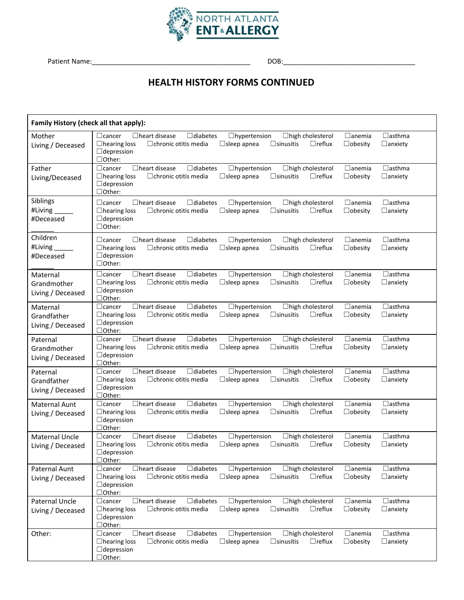

# **HEALTH HISTORY FORMS CONTINUED**

| Family History (check all that apply):       |                                                                                                                                                                                                                                                                                                        |                                 |  |
|----------------------------------------------|--------------------------------------------------------------------------------------------------------------------------------------------------------------------------------------------------------------------------------------------------------------------------------------------------------|---------------------------------|--|
| Mother<br>Living / Deceased                  | $\Box$ heart disease<br>$\Box$ diabetes<br>$\Box$ anemia<br>$\Box$ cancer<br>$\Box$ hypertension<br>$\Box$ high cholesterol<br>$\Box$ hearing loss<br>$\Box$ reflux<br>$\Box$ chronic otitis media<br>$\Box$ sleep apnea<br>$\Box$ sinusitis<br>$\Box$ obesity<br>$\Box$ depression<br>$\Box$ Other:   | $\Box$ asthma<br>$\Box$ anxiety |  |
| Father<br>Living/Deceased                    | $\Box$ cancer<br>$\Box$ heart disease<br>$\Box$ diabetes<br>$\Box$ hypertension<br>□ high cholesterol<br>$\Box$ anemia<br>$\Box$ hearing loss<br>$\Box$ chronic otitis media<br>$\Box$ sleep apnea<br>$\square$ sinusitis<br>$\Box$ reflux<br>$\Box$ obesity<br>$\Box$ depression<br>□Other:           | $\Box$ asthma<br>$\Box$ anxiety |  |
| Siblings<br>#Living<br>#Deceased             | $\Box$ heart disease<br>$\sqcup$ cancer<br>$\Box$ diabetes<br>$\Box$ hypertension<br>$\Box$ high cholesterol<br>$\Box$ anemia<br>$\Box$ hearing loss<br>$\Box$ reflux<br>$\Box$ chronic otitis media<br>$\Box$ sleep apnea<br>$\Box$ sinusitis<br>$\Box$ obesity<br>$\Box$ depression<br>$\Box$ Other: | $\Box$ asthma<br>$\Box$ anxiety |  |
| Children<br>#Living<br>#Deceased             | $\Box$ heart disease<br>$\Box$ anemia<br>$\Box$ cancer<br>$\Box$ diabetes<br>$\Box$ hypertension<br>$\Box$ high cholesterol<br>$\Box$ hearing loss<br>$\Box$ chronic otitis media<br>$\Box$ sleep apnea<br>$\Box$ sinusitis<br>$\Box$ reflux<br>$\Box$ obesity<br>$\Box$ depression<br>$\Box$ Other:   | $\Box$ asthma<br>$\Box$ anxiety |  |
| Maternal<br>Grandmother<br>Living / Deceased | $\Box$ cancer<br>$\Box$ heart disease<br>$\Box$ diabetes<br>$\Box$ hypertension<br>□ high cholesterol<br>$\Box$ anemia<br>$\Box$ hearing loss<br>$\Box$ reflux<br>$\Box$ chronic otitis media<br>$\Box$ sleep apnea<br>$\Box$ sinusitis<br>$\Box$ obesity<br>$\Box$ depression<br>□Other:              | $\Box$ asthma<br>$\Box$ anxiety |  |
| Maternal<br>Grandfather<br>Living / Deceased | $\Box$ heart disease<br>$\Box$ diabetes<br>$\Box$ cancer<br>□ high cholesterol<br>$\Box$ anemia<br>$\Box$ hypertension<br>$\Box$ hearing loss<br>$\Box$ reflux<br>$\Box$ chronic otitis media<br>$\Box$ sleep apnea<br>$\Box$ sinusitis<br>$\Box$ obesity<br>$\Box$ depression<br>$\Box$ Other:        | $\Box$ asthma<br>$\Box$ anxiety |  |
| Paternal<br>Grandmother<br>Living / Deceased | $\Box$ heart disease<br>$\Box$ diabetes<br>$\Box$ hypertension<br>□ high cholesterol<br>$\Box$ anemia<br>$\Box$ cancer<br>$\Box$ reflux<br>$\Box$ hearing loss<br>$\Box$ chronic otitis media<br>$\Box$ sleep apnea<br>$\Box$ sinusitis<br>$\Box$ obesity<br>$\Box$ depression<br>$\Box$ Other:        | $\Box$ asthma<br>$\Box$ anxiety |  |
| Paternal<br>Grandfather<br>Living / Deceased | □ heart disease<br>$\Box$ diabetes<br>$\Box$ hypertension<br>□ high cholesterol<br>$\Box$ anemia<br>$\Box$ cancer<br>$\Box$ hearing loss<br>$\Box$ reflux<br>$\Box$ chronic otitis media<br>$\Box$ sleep apnea<br>$\Box$ sinusitis<br>$\Box$ obesity<br>$\Box$ depression<br>$\Box$ Other:             | $\Box$ asthma<br>$\Box$ anxiety |  |
| <b>Maternal Aunt</b><br>Living / Deceased    | $\Box$ heart disease<br>$\Box$ diabetes<br>$\Box$ hypertension<br>$\Box$ anemia<br>$\Box$ cancer<br>$\Box$ high cholesterol<br>$\Box$ hearing loss<br>$\Box$ chronic otitis media<br>$\Box$ sleep apnea<br>$\Box$ sinusitis<br>$\Box$ reflux<br>$\Box$ obesity<br>$\Box$ depression<br>$\Box$ Other:   | $\Box$ asthma<br>$\Box$ anxiety |  |
| <b>Maternal Uncle</b><br>Living / Deceased   | $\Box$ heart disease<br>$\Box$ cancer<br>$\Box$ diabetes<br>□ high cholesterol<br>$\Box$ anemia<br>$\Box$ hypertension<br>$\Box$ hearing loss<br>$\Box$ chronic otitis media<br>$\Box$ sleep apnea<br>$\Box$ sinusitis<br>$\Box$ reflux<br>$\Box$ obesity<br>$\Box$ depression<br>$\Box$ Other:        | $\Box$ asthma<br>$\Box$ anxiety |  |
| Paternal Aunt<br>Living / Deceased           | $\Box$ heart disease<br>$\Box$ diabetes<br>□ high cholesterol<br>$\Box$ anemia<br>$\Box$ cancer<br>$\Box$ hypertension<br>$\Box$ reflux<br>$\Box$ hearing loss<br>$\Box$ chronic otitis media<br>$\Box$ sleep apnea<br>$\Box$ sinusitis<br>$\Box$ obesity<br>$\Box$ depression<br>$\Box$ Other:        | $\Box$ asthma<br>$\Box$ anxiety |  |
| Paternal Uncle<br>Living / Deceased          | $\Box$ heart disease<br>$\Box$ cancer<br>$\Box$ diabetes<br>$\Box$ hypertension<br>□ high cholesterol<br>$\Box$ anemia<br>$\Box$ hearing loss<br>$\Box$ chronic otitis media<br>$\Box$ reflux<br>$\Box$ sleep apnea<br>$\Box$ sinusitis<br>$\Box$ obesity<br>$\Box$ depression<br>$\Box$ Other:        | $\Box$ asthma<br>$\Box$ anxiety |  |
| Other:                                       | $\Box$ heart disease<br>$\Box$ diabetes<br>$\Box$ hypertension<br>□ high cholesterol<br>$\Box$ anemia<br>$\Box$ cancer<br>$\Box$ reflux<br>$\Box$ hearing loss<br>$\Box$ chronic otitis media<br>$\Box$ sleep apnea<br>$\Box$ sinusitis<br>$\Box$ obesity<br>$\Box$ depression<br>$\Box$ Other:        | $\Box$ asthma<br>$\Box$ anxiety |  |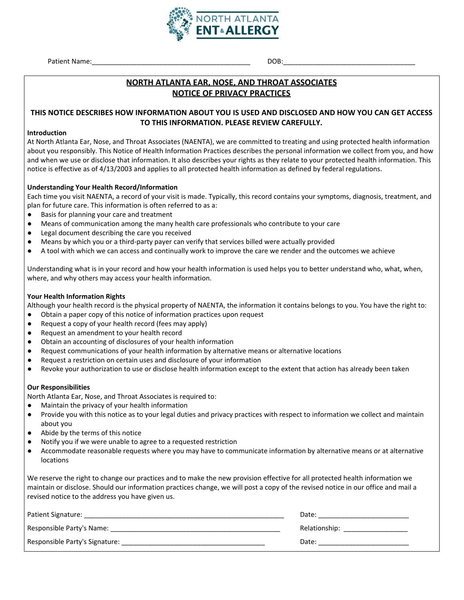

## **NORTH ATLANTA EAR, NOSE, AND THROAT ASSOCIATES NOTICE OF PRIVACY PRACTICES**

## **THIS NOTICE DESCRIBES HOW INFORMATION ABOUT YOU IS USED AND DISCLOSED AND HOW YOU CAN GET ACCESS TO THIS INFORMATION. PLEASE REVIEW CAREFULLY.**

#### **Introduction**

At North Atlanta Ear, Nose, and Throat Associates (NAENTA), we are committed to treating and using protected health information about you responsibly. This Notice of Health Information Practices describes the personal information we collect from you, and how and when we use or disclose that information. It also describes your rights as they relate to your protected health information. This notice is effective as of 4/13/2003 and applies to all protected health information as defined by federal regulations.

#### **Understanding Your Health Record/Information**

Each time you visit NAENTA, a record of your visit is made. Typically, this record contains your symptoms, diagnosis, treatment, and plan for future care. This information is often referred to as a:

- Basis for planning your care and treatment
- Means of communication among the many health care professionals who contribute to your care
- Legal document describing the care you received
- Means by which you or a third-party payer can verify that services billed were actually provided
- A tool with which we can access and continually work to improve the care we render and the outcomes we achieve

Understanding what is in your record and how your health information is used helps you to better understand who, what, when, where, and why others may access your health information.

#### **Your Health Information Rights**

Although your health record is the physical property of NAENTA, the information it contains belongs to you. You have the right to:

- Obtain a paper copy of this notice of information practices upon request
- Request a copy of your health record (fees may apply)
- Request an amendment to your health record
- Obtain an accounting of disclosures of your health information
- Request communications of your health information by alternative means or alternative locations
- Request a restriction on certain uses and disclosure of your information
- Revoke your authorization to use or disclose health information except to the extent that action has already been taken

#### **Our Responsibilities**

North Atlanta Ear, Nose, and Throat Associates is required to:

- Maintain the privacy of your health information
- Provide you with this notice as to your legal duties and privacy practices with respect to information we collect and maintain about you
- Abide by the terms of this notice
- Notify you if we were unable to agree to a requested restriction
- Accommodate reasonable requests where you may have to communicate information by alternative means or at alternative locations

We reserve the right to change our practices and to make the new provision effective for all protected health information we maintain or disclose. Should our information practices change, we will post a copy of the revised notice in our office and mail a revised notice to the address you have given us.

| Patient Signature:             | Date:         |
|--------------------------------|---------------|
| Responsible Party's Name:      | Relationship: |
| Responsible Party's Signature: | Date:         |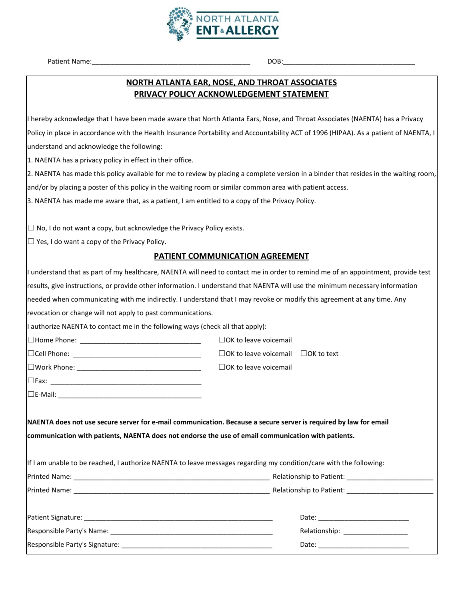

## **NORTH ATLANTA EAR, NOSE, AND THROAT ASSOCIATES PRIVACY POLICY ACKNOWLEDGEMENT STATEMENT**

I hereby acknowledge that I have been made aware that North Atlanta Ears, Nose, and Throat Associates (NAENTA) has a Privacy Policy in place in accordance with the Health Insurance Portability and Accountability ACT of 1996 (HIPAA). As a patient of NAENTA, I understand and acknowledge the following:

1. NAENTA has a privacy policy in effect in their office.

2. NAENTA has made this policy available for me to review by placing a complete version in a binder that resides in the waiting room, and/or by placing a poster of this policy in the waiting room or similar common area with patient access.

3. NAENTA has made me aware that, as a patient, I am entitled to a copy of the Privacy Policy.

 $\Box$  No, I do not want a copy, but acknowledge the Privacy Policy exists.

☐ Yes, I do want a copy of the Privacy Policy.

## **PATIENT COMMUNICATION AGREEMENT**

|                                                                                                    | I understand that as part of my healthcare, NAENTA will need to contact me in order to remind me of an appointment, provide test |
|----------------------------------------------------------------------------------------------------|----------------------------------------------------------------------------------------------------------------------------------|
|                                                                                                    | results, give instructions, or provide other information. I understand that NAENTA will use the minimum necessary information    |
|                                                                                                    | needed when communicating with me indirectly. I understand that I may revoke or modify this agreement at any time. Any           |
| revocation or change will not apply to past communications.                                        |                                                                                                                                  |
| I authorize NAENTA to contact me in the following ways (check all that apply):                     |                                                                                                                                  |
|                                                                                                    | $\Box$ OK to leave voicemail                                                                                                     |
|                                                                                                    | $\Box$ OK to leave voicemail $\Box$ OK to text                                                                                   |
|                                                                                                    | $\Box$ OK to leave voicemail                                                                                                     |
|                                                                                                    |                                                                                                                                  |
|                                                                                                    |                                                                                                                                  |
| communication with patients, NAENTA does not endorse the use of email communication with patients. | NAENTA does not use secure server for e-mail communication. Because a secure server is required by law for email                 |
|                                                                                                    | If I am unable to be reached, I authorize NAENTA to leave messages regarding my condition/care with the following:               |
|                                                                                                    |                                                                                                                                  |
|                                                                                                    |                                                                                                                                  |
|                                                                                                    |                                                                                                                                  |
|                                                                                                    |                                                                                                                                  |
|                                                                                                    |                                                                                                                                  |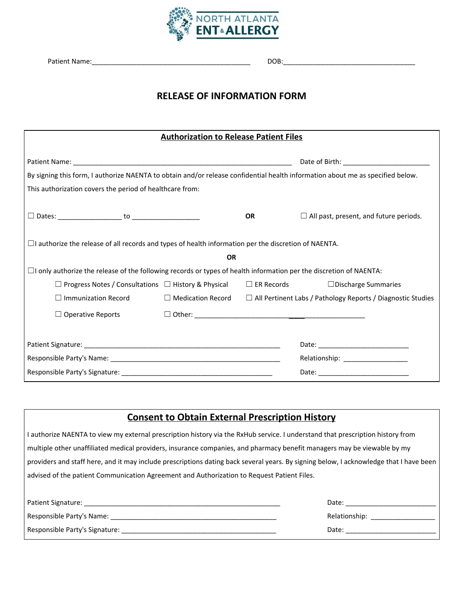

# **RELEASE OF INFORMATION FORM**

| <b>Authorization to Release Patient Files</b>                                                                                  |                          |                   |                                                                    |
|--------------------------------------------------------------------------------------------------------------------------------|--------------------------|-------------------|--------------------------------------------------------------------|
|                                                                                                                                |                          |                   |                                                                    |
| By signing this form, I authorize NAENTA to obtain and/or release confidential health information about me as specified below. |                          |                   |                                                                    |
| This authorization covers the period of healthcare from:                                                                       |                          |                   |                                                                    |
|                                                                                                                                |                          | <b>OR</b>         | $\Box$ All past, present, and future periods.                      |
| $\Box$ authorize the release of all records and types of health information per the discretion of NAENTA.                      |                          |                   |                                                                    |
|                                                                                                                                | <b>OR</b>                |                   |                                                                    |
| $\Box$ I only authorize the release of the following records or types of health information per the discretion of NAENTA:      |                          |                   |                                                                    |
| $\Box$ Progress Notes / Consultations $\Box$ History & Physical                                                                |                          | $\Box$ ER Records | $\Box$ Discharge Summaries                                         |
| $\Box$ Immunization Record                                                                                                     | $\Box$ Medication Record |                   | $\Box$ All Pertinent Labs / Pathology Reports / Diagnostic Studies |
| $\Box$ Operative Reports                                                                                                       |                          |                   |                                                                    |
|                                                                                                                                |                          |                   |                                                                    |
|                                                                                                                                |                          |                   | Relationship: ___________________                                  |
|                                                                                                                                |                          |                   |                                                                    |

| <b>Consent to Obtain External Prescription History</b>                                                                                 |                                    |  |
|----------------------------------------------------------------------------------------------------------------------------------------|------------------------------------|--|
| I authorize NAENTA to view my external prescription history via the RxHub service. I understand that prescription history from         |                                    |  |
| multiple other unaffiliated medical providers, insurance companies, and pharmacy benefit managers may be viewable by my                |                                    |  |
| providers and staff here, and it may include prescriptions dating back several years. By signing below, I acknowledge that I have been |                                    |  |
| advised of the patient Communication Agreement and Authorization to Request Patient Files.                                             |                                    |  |
|                                                                                                                                        |                                    |  |
|                                                                                                                                        |                                    |  |
|                                                                                                                                        | Relationship: ____________________ |  |
|                                                                                                                                        | Date: __________________________   |  |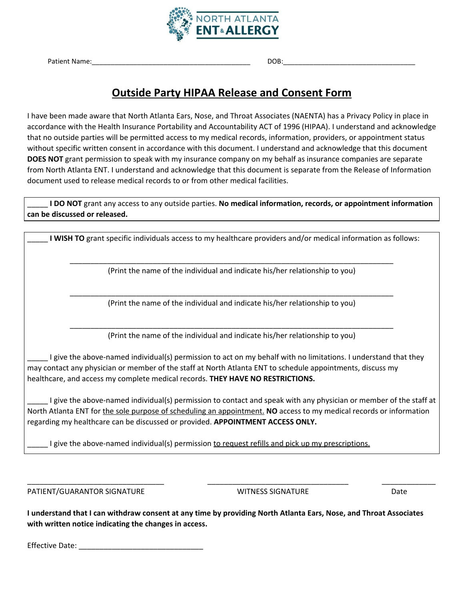

# **Outside Party HIPAA Release and Consent Form**

I have been made aware that North Atlanta Ears, Nose, and Throat Associates (NAENTA) has a Privacy Policy in place in accordance with the Health Insurance Portability and Accountability ACT of 1996 (HIPAA). I understand and acknowledge that no outside parties will be permitted access to my medical records, information, providers, or appointment status without specific written consent in accordance with this document. I understand and acknowledge that this document **DOES NOT** grant permission to speak with my insurance company on my behalf as insurance companies are separate from North Atlanta ENT. I understand and acknowledge that this document is separate from the Release of Information document used to release medical records to or from other medical facilities.

\_\_\_\_\_ **I DO NOT** grant any access to any outside parties. **No medical information, records, or appointment information can be discussed or released.**

**I** WISH TO grant specific individuals access to my healthcare providers and/or medical information as follows:

\_\_\_\_\_\_\_\_\_\_\_\_\_\_\_\_\_\_\_\_\_\_\_\_\_\_\_\_\_\_\_\_\_\_\_\_\_\_\_\_\_\_\_\_\_\_\_\_\_\_\_\_\_\_\_\_\_\_\_\_\_\_\_\_\_\_\_\_\_\_\_\_\_\_\_\_\_\_ (Print the name of the individual and indicate his/her relationship to you)

\_\_\_\_\_\_\_\_\_\_\_\_\_\_\_\_\_\_\_\_\_\_\_\_\_\_\_\_\_\_\_\_\_\_\_\_\_\_\_\_\_\_\_\_\_\_\_\_\_\_\_\_\_\_\_\_\_\_\_\_\_\_\_\_\_\_\_\_\_\_\_\_\_\_\_\_\_\_ (Print the name of the individual and indicate his/her relationship to you)

\_\_\_\_\_\_\_\_\_\_\_\_\_\_\_\_\_\_\_\_\_\_\_\_\_\_\_\_\_\_\_\_\_\_\_\_\_\_\_\_\_\_\_\_\_\_\_\_\_\_\_\_\_\_\_\_\_\_\_\_\_\_\_\_\_\_\_\_\_\_\_\_\_\_\_\_\_\_ (Print the name of the individual and indicate his/her relationship to you)

\_\_\_\_\_ I give the above-named individual(s) permission to act on my behalf with no limitations. I understand that they may contact any physician or member of the staff at North Atlanta ENT to schedule appointments, discuss my healthcare, and access my complete medical records. **THEY HAVE NO RESTRICTIONS.**

\_\_\_\_\_ I give the above-named individual(s) permission to contact and speak with any physician or member of the staff at North Atlanta ENT for the sole purpose of scheduling an appointment. **NO** access to my medical records or information regarding my healthcare can be discussed or provided. **APPOINTMENT ACCESS ONLY.**

\_\_\_\_\_\_\_\_\_\_\_\_\_\_\_\_\_\_\_\_\_\_\_\_\_\_\_\_\_\_\_\_\_ \_\_\_\_\_\_\_\_\_\_\_\_\_\_\_\_\_\_\_\_\_\_\_\_\_\_\_\_\_\_\_\_\_\_ \_\_\_\_\_\_\_\_\_\_\_\_\_

\_\_\_\_\_ I give the above-named individual(s) permission to request refills and pick up my prescriptions.

PATIENT/GUARANTOR SIGNATURE THE MITH ON A MITNESS SIGNATURE THE DATE DATE

I understand that I can withdraw consent at any time by providing North Atlanta Ears, Nose, and Throat Associates **with written notice indicating the changes in access.**

Effective Date: \_\_\_\_\_\_\_\_\_\_\_\_\_\_\_\_\_\_\_\_\_\_\_\_\_\_\_\_\_\_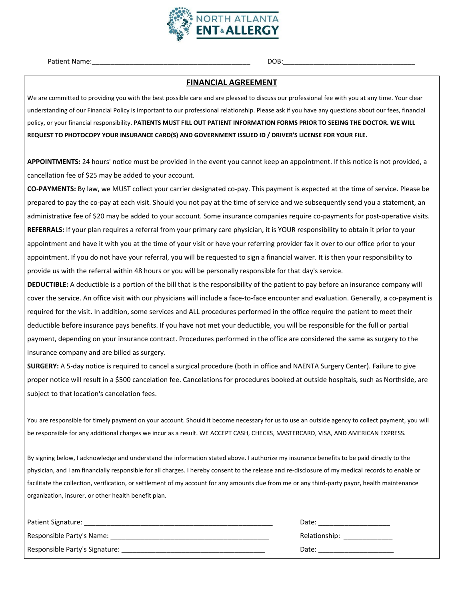

Patient Name: The contract of the contract of the contract of the contract of the contract of the contract of the contract of the contract of the contract of the contract of the contract of the contract of the contract of

#### **FINANCIAL AGREEMENT**

We are committed to providing you with the best possible care and are pleased to discuss our professional fee with you at any time. Your clear understanding of our Financial Policy is important to our professional relationship. Please ask if you have any questions about our fees, financial policy, or your financial responsibility. **PATIENTS MUST FILL OUT PATIENT INFORMATION FORMS PRIOR TO SEEING THE DOCTOR. WE WILL REQUEST TO PHOTOCOPY YOUR INSURANCE CARD(S) AND GOVERNMENT ISSUED ID / DRIVER'S LICENSE FOR YOUR FILE.**

**APPOINTMENTS:** 24 hours' notice must be provided in the event you cannot keep an appointment. If this notice is not provided, a cancellation fee of \$25 may be added to your account.

**CO-PAYMENTS:** By law, we MUST collect your carrier designated co-pay. This payment is expected at the time of service. Please be prepared to pay the co-pay at each visit. Should you not pay at the time of service and we subsequently send you a statement, an administrative fee of \$20 may be added to your account. Some insurance companies require co-payments for post-operative visits. **REFERRALS:** If your plan requires a referral from your primary care physician, it is YOUR responsibility to obtain it prior to your appointment and have it with you at the time of your visit or have your referring provider fax it over to our office prior to your appointment. If you do not have your referral, you will be requested to sign a financial waiver. It is then your responsibility to provide us with the referral within 48 hours or you will be personally responsible for that day's service.

**DEDUCTIBLE:** A deductible is a portion of the bill that is the responsibility of the patient to pay before an insurance company will cover the service. An office visit with our physicians will include a face-to-face encounter and evaluation. Generally, a co-payment is required for the visit. In addition, some services and ALL procedures performed in the office require the patient to meet their deductible before insurance pays benefits. If you have not met your deductible, you will be responsible for the full or partial payment, depending on your insurance contract. Procedures performed in the office are considered the same as surgery to the insurance company and are billed as surgery.

**SURGERY:** A 5-day notice is required to cancel a surgical procedure (both in office and NAENTA Surgery Center). Failure to give proper notice will result in a \$500 cancelation fee. Cancelations for procedures booked at outside hospitals, such as Northside, are subject to that location's cancelation fees.

You are responsible for timely payment on your account. Should it become necessary for us to use an outside agency to collect payment, you will be responsible for any additional charges we incur as a result. WE ACCEPT CASH, CHECKS, MASTERCARD, VISA, AND AMERICAN EXPRESS.

By signing below, I acknowledge and understand the information stated above. I authorize my insurance benefits to be paid directly to the physician, and I am financially responsible for all charges. I hereby consent to the release and re-disclosure of my medical records to enable or facilitate the collection, verification, or settlement of my account for any amounts due from me or any third-party payor, health maintenance organization, insurer, or other health benefit plan.

| Patient Signature:             | Date:         |
|--------------------------------|---------------|
| Responsible Party's Name:      | Relationship: |
| Responsible Party's Signature: | Date:         |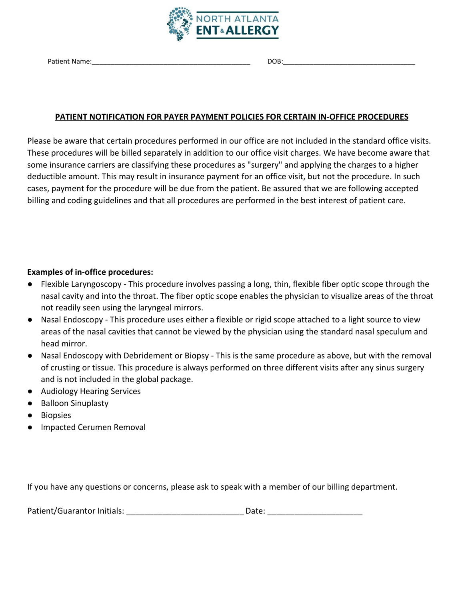

Patient Name: The contract of the contract of the contract of the contract of the contract of the contract of the contract of the contract of the contract of the contract of the contract of the contract of the contract of

## **PATIENT NOTIFICATION FOR PAYER PAYMENT POLICIES FOR CERTAIN IN-OFFICE PROCEDURES**

Please be aware that certain procedures performed in our office are not included in the standard office visits. These procedures will be billed separately in addition to our office visit charges. We have become aware that some insurance carriers are classifying these procedures as "surgery" and applying the charges to a higher deductible amount. This may result in insurance payment for an office visit, but not the procedure. In such cases, payment for the procedure will be due from the patient. Be assured that we are following accepted billing and coding guidelines and that all procedures are performed in the best interest of patient care.

## **Examples of in-office procedures:**

- Flexible Laryngoscopy This procedure involves passing a long, thin, flexible fiber optic scope through the nasal cavity and into the throat. The fiber optic scope enables the physician to visualize areas of the throat not readily seen using the laryngeal mirrors.
- Nasal Endoscopy This procedure uses either a flexible or rigid scope attached to a light source to view areas of the nasal cavities that cannot be viewed by the physician using the standard nasal speculum and head mirror.
- Nasal Endoscopy with Debridement or Biopsy This is the same procedure as above, but with the removal of crusting or tissue. This procedure is always performed on three different visits after any sinus surgery and is not included in the global package.
- **Audiology Hearing Services**
- **Balloon Sinuplasty**
- **Biopsies**
- Impacted Cerumen Removal

If you have any questions or concerns, please ask to speak with a member of our billing department.

| Patient/Guarantor Initials: | Date: |
|-----------------------------|-------|
|-----------------------------|-------|